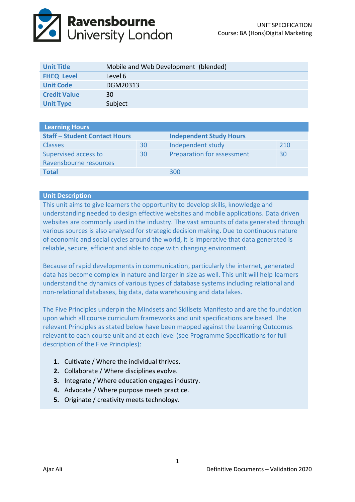

| <b>Unit Title</b>   | Mobile and Web Development (blended) |
|---------------------|--------------------------------------|
| <b>FHEQ Level</b>   | Level 6                              |
| <b>Unit Code</b>    | DGM20313                             |
| <b>Credit Value</b> | 30                                   |
| <b>Unit Type</b>    | Subject                              |

| <b>Learning Hours</b>                |    |                                |     |  |  |
|--------------------------------------|----|--------------------------------|-----|--|--|
| <b>Staff - Student Contact Hours</b> |    | <b>Independent Study Hours</b> |     |  |  |
| <b>Classes</b>                       | 30 | Independent study              | 210 |  |  |
| Supervised access to                 | 30 | Preparation for assessment     | 30  |  |  |
| Ravensbourne resources               |    |                                |     |  |  |
| <b>Total</b>                         |    | 300                            |     |  |  |

#### **Unit Description**

This unit aims to give learners the opportunity to develop skills, knowledge and understanding needed to design effective websites and mobile applications. Data driven websites are commonly used in the industry. The vast amounts of data generated through various sources is also analysed for strategic decision making**.** Due to continuous nature of economic and social cycles around the world, it is imperative that data generated is reliable, secure, efficient and able to cope with changing environment.

Because of rapid developments in communication, particularly the internet, generated data has become complex in nature and larger in size as well. This unit will help learners understand the dynamics of various types of database systems including relational and non-relational databases, big data, data warehousing and data lakes.

The Five Principles underpin the Mindsets and Skillsets Manifesto and are the foundation upon which all course curriculum frameworks and unit specifications are based. The relevant Principles as stated below have been mapped against the Learning Outcomes relevant to each course unit and at each level (see Programme Specifications for full description of the Five Principles):

- **1.** Cultivate / Where the individual thrives.
- **2.** Collaborate / Where disciplines evolve.
- **3.** Integrate / Where education engages industry.
- **4.** Advocate / Where purpose meets practice.
- **5.** Originate / creativity meets technology.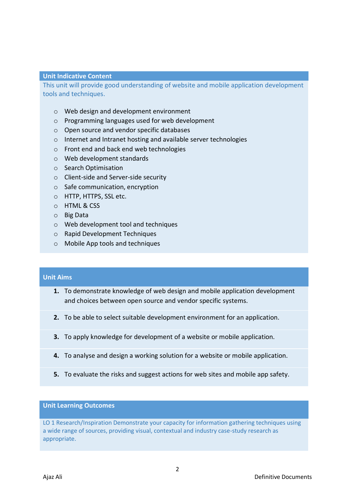#### **Unit Indicative Content**

This unit will provide good understanding of website and mobile application development tools and techniques.

- o Web design and development environment
- o Programming languages used for web development
- o Open source and vendor specific databases
- o Internet and Intranet hosting and available server technologies
- o Front end and back end web technologies
- o Web development standards
- o Search Optimisation
- o Client-side and Server-side security
- o Safe communication, encryption
- o HTTP, HTTPS, SSL etc.
- o HTML & CSS
- o Big Data
- o Web development tool and techniques
- o Rapid Development Techniques
- o Mobile App tools and techniques

# **Unit Aims**

- **1.** To demonstrate knowledge of web design and mobile application development and choices between open source and vendor specific systems.
- **2.** To be able to select suitable development environment for an application.
- **3.** To apply knowledge for development of a website or mobile application.
- **4.** To analyse and design a working solution for a website or mobile application.
- **5.** To evaluate the risks and suggest actions for web sites and mobile app safety.

#### **Unit Learning Outcomes**

LO 1 Research/Inspiration Demonstrate your capacity for information gathering techniques using a wide range of sources, providing visual, contextual and industry case-study research as appropriate.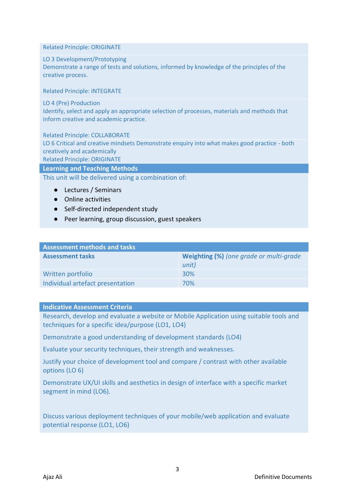Related Principle: ORIGINATE

### LO 3 Development/Prototyping

Demonstrate a range of tests and solutions, informed by knowledge of the principles of the creative process.

Related Principle: INTEGRATE

LO 4 (Pre) Production

Identify, select and apply an appropriate selection of processes, materials and methods that inform creative and academic practice.

Related Principle: COLLABORATE LO 6 Critical and creative mindsets Demonstrate enquiry into what makes good practice - both creatively and academically Related Principle: ORIGINATE

**Learning and Teaching Methods**

This unit will be delivered using a combination of:

- Lectures / Seminars
- Online activities
- Self-directed independent study
- Peer learning, group discussion, guest speakers

| <b>Assessment methods and tasks</b> |                                         |  |  |
|-------------------------------------|-----------------------------------------|--|--|
| <b>Assessment tasks</b>             | Weighting (%) (one grade or multi-grade |  |  |
|                                     | unit)                                   |  |  |
| Written portfolio                   | 30%                                     |  |  |
| Individual artefact presentation    | 70%                                     |  |  |

# **Indicative Assessment Criteria**

Research, develop and evaluate a website or Mobile Application using suitable tools and techniques for a specific idea/purpose (LO1, LO4)

Demonstrate a good understanding of development standards (LO4)

Evaluate your security techniques, their strength and weaknesses.

Justify your choice of development tool and compare / contrast with other available options (LO 6)

Demonstrate UX/UI skills and aesthetics in design of interface with a specific market segment in mind (LO6).

Discuss various deployment techniques of your mobile/web application and evaluate potential response (LO1, LO6)